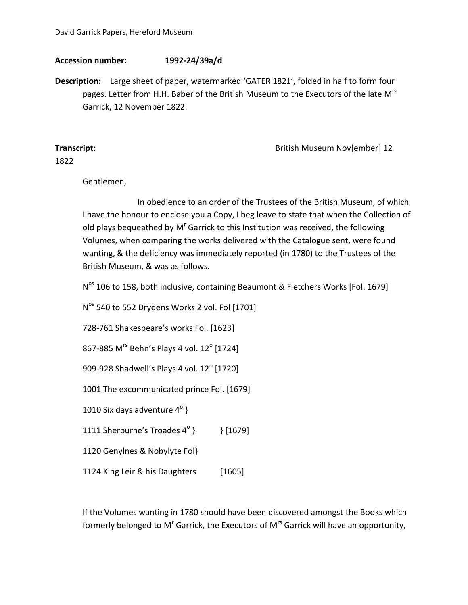## **Accession number: 1992-24/39a/d**

**Description:** Large sheet of paper, watermarked 'GATER 1821', folded in half to form four pages. Letter from H.H. Baber of the British Museum to the Executors of the late M<sup>rs</sup> Garrick, 12 November 1822.

**Transcript: Contract Contract Contract Contract Contract Contract Contract Contract Contract Contract Contract Contract Contract Contract Contract Contract Contract Contract Contract Contract Contract Contract Contract** 

1822

Gentlemen,

In obedience to an order of the Trustees of the British Museum, of which I have the honour to enclose you a Copy, I beg leave to state that when the Collection of old plays bequeathed by  $M<sup>r</sup>$  Garrick to this Institution was received, the following Volumes, when comparing the works delivered with the Catalogue sent, were found wanting, & the deficiency was immediately reported (in 1780) to the Trustees of the British Museum, & was as follows.

N<sup>os</sup> 106 to 158, both inclusive, containing Beaumont & Fletchers Works [Fol. 1679]

N<sup>os</sup> 540 to 552 Drydens Works 2 vol. Fol [1701]

728-761 Shakespeare's works Fol. [1623]

867-885 M<sup>rs</sup> Behn's Plays 4 vol. 12<sup>°</sup> [1724]

909-928 Shadwell's Plays 4 vol.  $12^{\circ}$  [1720]

1001 The excommunicated prince Fol. [1679]

1010 Six days adventure  $4^{\circ}$  }

1111 Sherburne's Troades  $4^{\circ}$  } } } [1679]

1120 Genylnes & Nobylyte Fol}

1124 King Leir & his Daughters [1605]

If the Volumes wanting in 1780 should have been discovered amongst the Books which formerly belonged to M<sup>r</sup> Garrick, the Executors of M<sup>rs</sup> Garrick will have an opportunity,